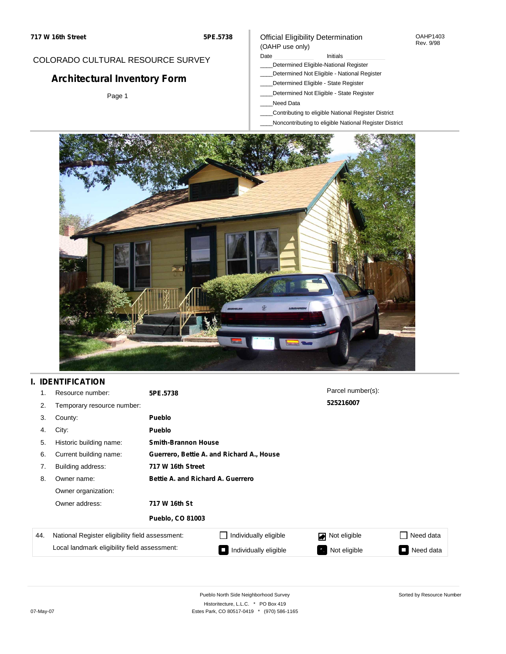### COLORADO CULTURAL RESOURCE SURVEY

# **Architectural Inventory Form**

Page 1

### Official Eligibility Determination (OAHP use only)

Date **Initials** Initials

- \_\_\_\_Determined Eligible-National Register
- \_\_\_\_Determined Not Eligible National Register
- \_\_\_\_Determined Eligible State Register
- \_\_\_\_Determined Not Eligible State Register
- \_\_\_\_Need Data
- \_\_\_\_Contributing to eligible National Register District
- \_\_\_\_Noncontributing to eligible National Register District



## **I. IDENTIFICATION**

| 1.  | Resource number:                                | 5PE.5738                          |                                           | Parcel number(s): |                     |  |  |
|-----|-------------------------------------------------|-----------------------------------|-------------------------------------------|-------------------|---------------------|--|--|
| 2.  | Temporary resource number:                      |                                   |                                           | 525216007         |                     |  |  |
| 3.  | County:                                         | <b>Pueblo</b>                     |                                           |                   |                     |  |  |
| 4.  | City:                                           | <b>Pueblo</b>                     |                                           |                   |                     |  |  |
| 5.  | Historic building name:                         |                                   | <b>Smith-Brannon House</b>                |                   |                     |  |  |
| 6.  | Current building name:                          |                                   | Guerrero, Bettie A. and Richard A., House |                   |                     |  |  |
| 7.  | Building address:                               | 717 W 16th Street                 |                                           |                   |                     |  |  |
| 8.  | Owner name:                                     | Bettie A. and Richard A. Guerrero |                                           |                   |                     |  |  |
|     | Owner organization:                             |                                   |                                           |                   |                     |  |  |
|     | Owner address:                                  | 717 W 16th St                     |                                           |                   |                     |  |  |
|     |                                                 | <b>Pueblo, CO 81003</b>           |                                           |                   |                     |  |  |
| 44. | National Register eligibility field assessment: |                                   | Individually eligible                     | Not eligible      | Need data           |  |  |
|     | Local landmark eligibility field assessment:    |                                   | Individually eligible                     | Not eligible      | Need data<br>$\Box$ |  |  |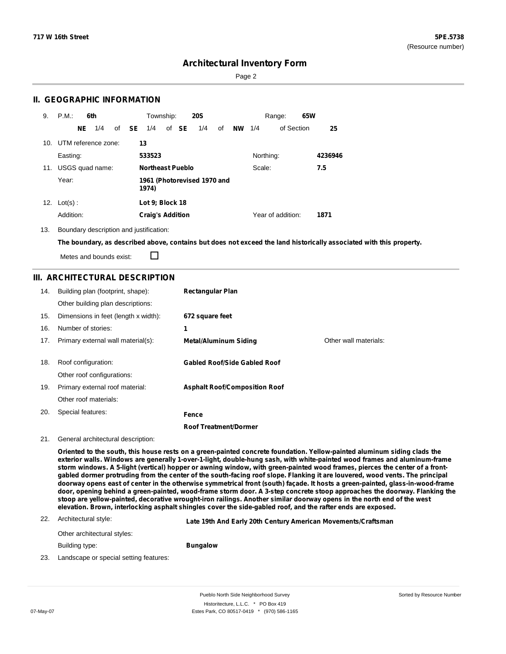Sorted by Resource Number

### **Architectural Inventory Form**

Page 2

### **II. GEOGRAPHIC INFORMATION**

| 9.  | P.M.                    | 6th<br>Township:<br><b>20S</b><br>Range: |                 | 65W          |                                      |  |       |     |    |           |           |                   |  |         |
|-----|-------------------------|------------------------------------------|-----------------|--------------|--------------------------------------|--|-------|-----|----|-----------|-----------|-------------------|--|---------|
|     |                         | NE                                       | 1/4             | of <b>SE</b> | 1/4                                  |  | of SE | 1/4 | of | <b>NW</b> | 1/4       | of Section        |  | 25      |
|     | 10. UTM reference zone: |                                          |                 | 13           |                                      |  |       |     |    |           |           |                   |  |         |
|     | Easting:                |                                          |                 |              | 533523                               |  |       |     |    |           | Northing: |                   |  | 4236946 |
| 11. |                         |                                          | USGS quad name: |              | <b>Northeast Pueblo</b>              |  |       |     |    |           | Scale:    |                   |  | 7.5     |
|     | Year:                   |                                          |                 |              | 1961 (Photorevised 1970 and<br>1974) |  |       |     |    |           |           |                   |  |         |
| 12. | $Lot(s)$ :              |                                          |                 |              | Lot 9; Block 18                      |  |       |     |    |           |           |                   |  |         |
|     | Addition:               |                                          |                 |              | <b>Craig's Addition</b>              |  |       |     |    |           |           | Year of addition: |  | 1871    |

13. Boundary description and justification:

The boundary, as described above, contains but does not exceed the land historically associated with this property.

 $\Box$ Metes and bounds exist:

### **III. ARCHITECTURAL DESCRIPTION**

| 14. | Building plan (footprint, shape):<br>Other building plan descriptions: | <b>Rectangular Plan</b>               |                       |
|-----|------------------------------------------------------------------------|---------------------------------------|-----------------------|
| 15. | Dimensions in feet (length x width):                                   | 672 square feet                       |                       |
| 16. | Number of stories:                                                     | 1                                     |                       |
| 17. | Primary external wall material(s):                                     | <b>Metal/Aluminum Siding</b>          | Other wall materials: |
| 18. | Roof configuration:<br>Other roof configurations:                      | Gabled Roof/Side Gabled Roof          |                       |
| 19. | Primary external roof material:                                        | <b>Asphalt Roof/Composition Roof</b>  |                       |
|     | Other roof materials:                                                  |                                       |                       |
| 20. | Special features:                                                      | Fence<br><b>Roof Treatment/Dormer</b> |                       |

#### 21. General architectural description:

Oriented to the south, this house rests on a green-painted concrete foundation. Yellow-painted aluminum siding clads the **exterior walls. Windows are generally 1-over-1-light, double-hung sash, with white-painted wood frames and aluminum-frame** storm windows. A 5-light (vertical) hopper or awning window, with green-painted wood frames, pierces the center of a frontgabled dormer protruding from the center of the south-facing roof slope. Flanking it are louvered, wood vents. The principal doorway opens east of center in the otherwise symmetrical front (south) façade. It hosts a green-painted, glass-in-wood-frame door, opening behind a green-painted, wood-frame storm door. A 3-step concrete stoop approaches the doorway. Flanking the stoop are yellow-painted, decorative wrought-iron railings. Another similar doorway opens in the north end of the west **elevation. Brown, interlocking asphalt shingles cover the side-gabled roof, and the rafter ends are exposed.**

#### 22. Architectural style:

**Late 19th And Early 20th Century American Movements/Craftsman**

Other architectural styles: Building type:

#### **Bungalow**

23. Landscape or special setting features:

Pueblo North Side Neighborhood Survey Historitecture, L.L.C. \* PO Box 419 07-May-07 **Estes Park, CO 80517-0419** \* (970) 586-1165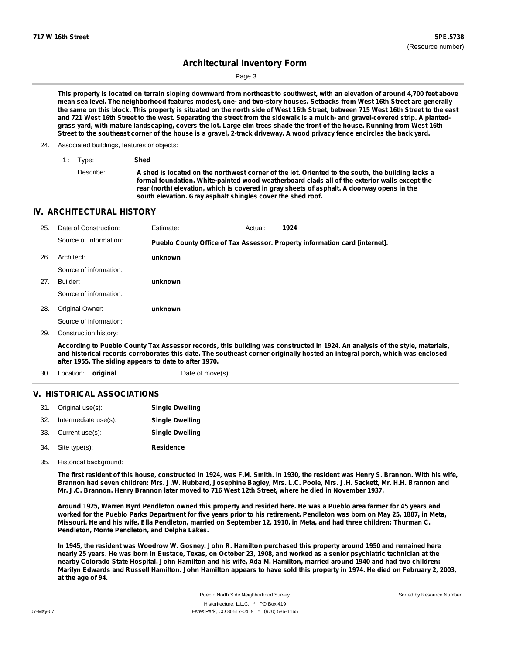Page 3

This property is located on terrain sloping downward from northeast to southwest, with an elevation of around 4,700 feet above mean sea level. The neighborhood features modest, one- and two-story houses. Setbacks from West 16th Street are generally the same on this block. This property is situated on the north side of West 16th Street, between 715 West 16th Street to the east and 721 West 16th Street to the west. Separating the street from the sidewalk is a mulch- and gravel-covered strip. A plantedgrass yard, with mature landscaping, covers the lot. Large elm trees shade the front of the house. Running from West 16th Street to the southeast corner of the house is a gravel, 2-track driveway. A wood privacy fence encircles the back yard.

- 24. Associated buildings, features or objects:
	- 1 : Type: **Shed** Describe: A shed is located on the northwest corner of the lot. Oriented to the south, the building lacks a **formal foundation. White-painted wood weatherboard clads all of the exterior walls except the rear (north) elevation, which is covered in gray sheets of asphalt. A doorway opens in the south elevation. Gray asphalt shingles cover the shed roof.**

### **IV. ARCHITECTURAL HISTORY**

| 25. | Date of Construction:  | Estimate: | Actual: | 1924                                                                        |
|-----|------------------------|-----------|---------|-----------------------------------------------------------------------------|
|     | Source of Information: |           |         | Pueblo County Office of Tax Assessor. Property information card [internet]. |
| 26. | Architect:             | unknown   |         |                                                                             |
|     | Source of information: |           |         |                                                                             |
| 27. | Builder:               | unknown   |         |                                                                             |
|     | Source of information: |           |         |                                                                             |
| 28. | Original Owner:        | unknown   |         |                                                                             |
|     | Source of information: |           |         |                                                                             |
| 29. | Construction history:  |           |         |                                                                             |
|     |                        |           |         |                                                                             |

According to Pueblo County Tax Assessor records, this building was constructed in 1924. An analysis of the style, materials, and historical records corroborates this date. The southeast corner originally hosted an integral porch, which was enclosed **after 1955. The siding appears to date to after 1970.**

30. Location: **original Date of move(s):** 

### **V. HISTORICAL ASSOCIATIONS**

| 31. Original use(s):     | <b>Single Dwelling</b> |
|--------------------------|------------------------|
| 32. Intermediate use(s): | <b>Single Dwelling</b> |
| 33. Current use(s):      | <b>Single Dwelling</b> |
| 34. Site type(s):        | <b>Residence</b>       |

35. Historical background:

The first resident of this house, constructed in 1924, was F.M. Smith. In 1930, the resident was Henry S. Brannon. With his wife, Brannon had seven children: Mrs. J.W. Hubbard, Josephine Bagley, Mrs. L.C. Poole, Mrs. J.H. Sackett, Mr. H.H. Brannon and Mr. J.C. Brannon. Henry Brannon later moved to 716 West 12th Street, where he died in November 1937.

Around 1925, Warren Byrd Pendleton owned this property and resided here. He was a Pueblo area farmer for 45 years and worked for the Pueblo Parks Department for five years prior to his retirement. Pendleton was born on May 25, 1887, in Meta, Missouri. He and his wife, Ella Pendleton, married on September 12, 1910, in Meta, and had three children: Thurman C. **Pendleton, Monte Pendleton, and Delpha Lakes.**

In 1945, the resident was Woodrow W. Gosney. John R. Hamilton purchased this property around 1950 and remained here nearly 25 years. He was born in Eustace, Texas, on October 23, 1908, and worked as a senior psychiatric technician at the nearby Colorado State Hospital. John Hamilton and his wife, Ada M. Hamilton, married around 1940 and had two children: Marilyn Edwards and Russell Hamilton. John Hamilton appears to have sold this property in 1974. He died on February 2, 2003, **at the age of 94.**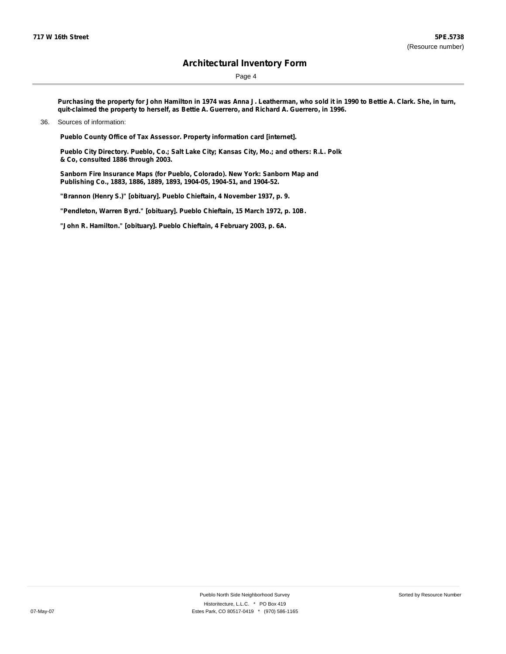Page 4

Purchasing the property for John Hamilton in 1974 was Anna J. Leatherman, who sold it in 1990 to Bettie A. Clark. She, in turn, **quit-claimed the property to herself, as Bettie A. Guerrero, and Richard A. Guerrero, in 1996.**

**Pueblo County Office of Tax Assessor. Property information card [internet].**

**Pueblo City Directory. Pueblo, Co.; Salt Lake City; Kansas City, Mo.; and others: R.L. Polk & Co, consulted 1886 through 2003.**

**Sanborn Fire Insurance Maps (for Pueblo, Colorado). New York: Sanborn Map and Publishing Co., 1883, 1886, 1889, 1893, 1904-05, 1904-51, and 1904-52.**

**"Brannon (Henry S.)" [obituary]. Pueblo Chieftain, 4 November 1937, p. 9.**

**"Pendleton, Warren Byrd." [obituary]. Pueblo Chieftain, 15 March 1972, p. 10B.**

**"John R. Hamilton." [obituary]. Pueblo Chieftain, 4 February 2003, p. 6A.**

<sup>36.</sup> Sources of information: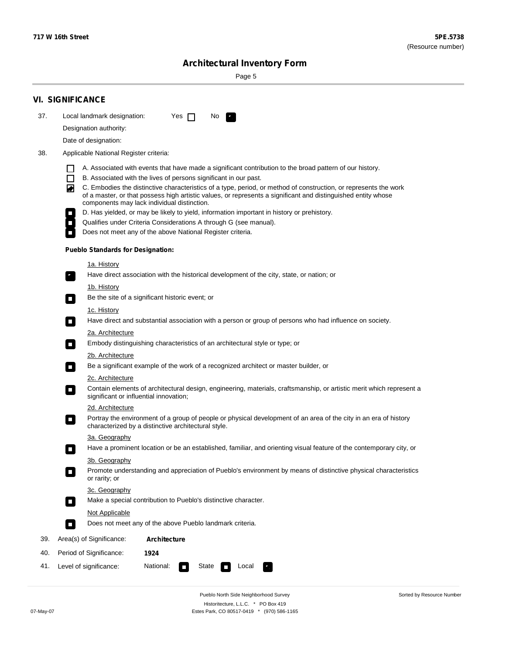÷

Sorted by Resource Number

# **Architectural Inventory Form**

Page 5

|     | <b>VI. SIGNIFICANCE</b>                                                                                                                                                                                                                                                                                                                                                                                                                                                                                                                                                             |  |  |  |  |  |  |  |  |
|-----|-------------------------------------------------------------------------------------------------------------------------------------------------------------------------------------------------------------------------------------------------------------------------------------------------------------------------------------------------------------------------------------------------------------------------------------------------------------------------------------------------------------------------------------------------------------------------------------|--|--|--|--|--|--|--|--|
| 37. | Local landmark designation:<br>Yes $\Box$<br>No.                                                                                                                                                                                                                                                                                                                                                                                                                                                                                                                                    |  |  |  |  |  |  |  |  |
|     | Designation authority:                                                                                                                                                                                                                                                                                                                                                                                                                                                                                                                                                              |  |  |  |  |  |  |  |  |
|     | Date of designation:                                                                                                                                                                                                                                                                                                                                                                                                                                                                                                                                                                |  |  |  |  |  |  |  |  |
| 38. | Applicable National Register criteria:                                                                                                                                                                                                                                                                                                                                                                                                                                                                                                                                              |  |  |  |  |  |  |  |  |
|     | A. Associated with events that have made a significant contribution to the broad pattern of our history.<br>l.<br>B. Associated with the lives of persons significant in our past.<br>$\Box$<br>C. Embodies the distinctive characteristics of a type, period, or method of construction, or represents the work<br>◙<br>of a master, or that possess high artistic values, or represents a significant and distinguished entity whose<br>components may lack individual distinction.<br>D. Has yielded, or may be likely to yield, information important in history or prehistory. |  |  |  |  |  |  |  |  |
|     | Qualifies under Criteria Considerations A through G (see manual).                                                                                                                                                                                                                                                                                                                                                                                                                                                                                                                   |  |  |  |  |  |  |  |  |
|     | Does not meet any of the above National Register criteria.                                                                                                                                                                                                                                                                                                                                                                                                                                                                                                                          |  |  |  |  |  |  |  |  |
|     | <b>Pueblo Standards for Designation:</b>                                                                                                                                                                                                                                                                                                                                                                                                                                                                                                                                            |  |  |  |  |  |  |  |  |
|     | 1a. History                                                                                                                                                                                                                                                                                                                                                                                                                                                                                                                                                                         |  |  |  |  |  |  |  |  |
|     | Have direct association with the historical development of the city, state, or nation; or                                                                                                                                                                                                                                                                                                                                                                                                                                                                                           |  |  |  |  |  |  |  |  |
|     | <u>1b. History</u><br>Be the site of a significant historic event; or<br>$\mathcal{L}_{\mathcal{A}}$                                                                                                                                                                                                                                                                                                                                                                                                                                                                                |  |  |  |  |  |  |  |  |
|     | 1c. History<br>Have direct and substantial association with a person or group of persons who had influence on society.<br>$\blacksquare$                                                                                                                                                                                                                                                                                                                                                                                                                                            |  |  |  |  |  |  |  |  |
|     | 2a. Architecture<br>Embody distinguishing characteristics of an architectural style or type; or<br>$\overline{\phantom{a}}$                                                                                                                                                                                                                                                                                                                                                                                                                                                         |  |  |  |  |  |  |  |  |
|     | 2b. Architecture                                                                                                                                                                                                                                                                                                                                                                                                                                                                                                                                                                    |  |  |  |  |  |  |  |  |
|     | Be a significant example of the work of a recognized architect or master builder, or<br>$\sim$                                                                                                                                                                                                                                                                                                                                                                                                                                                                                      |  |  |  |  |  |  |  |  |
|     | 2c. Architecture<br>Contain elements of architectural design, engineering, materials, craftsmanship, or artistic merit which represent a<br>О<br>significant or influential innovation;                                                                                                                                                                                                                                                                                                                                                                                             |  |  |  |  |  |  |  |  |
|     | 2d. Architecture                                                                                                                                                                                                                                                                                                                                                                                                                                                                                                                                                                    |  |  |  |  |  |  |  |  |
|     | Portray the environment of a group of people or physical development of an area of the city in an era of history<br>$\Box$<br>characterized by a distinctive architectural style.                                                                                                                                                                                                                                                                                                                                                                                                   |  |  |  |  |  |  |  |  |
|     | 3a. Geography                                                                                                                                                                                                                                                                                                                                                                                                                                                                                                                                                                       |  |  |  |  |  |  |  |  |
|     | Have a prominent location or be an established, familiar, and orienting visual feature of the contemporary city, or                                                                                                                                                                                                                                                                                                                                                                                                                                                                 |  |  |  |  |  |  |  |  |
|     | 3b. Geography<br>Promote understanding and appreciation of Pueblo's environment by means of distinctive physical characteristics<br>or rarity; or                                                                                                                                                                                                                                                                                                                                                                                                                                   |  |  |  |  |  |  |  |  |
|     | 3c. Geography<br>Make a special contribution to Pueblo's distinctive character.<br>$\sim$                                                                                                                                                                                                                                                                                                                                                                                                                                                                                           |  |  |  |  |  |  |  |  |
|     | Not Applicable                                                                                                                                                                                                                                                                                                                                                                                                                                                                                                                                                                      |  |  |  |  |  |  |  |  |
|     | Does not meet any of the above Pueblo landmark criteria.<br>$\overline{\phantom{a}}$                                                                                                                                                                                                                                                                                                                                                                                                                                                                                                |  |  |  |  |  |  |  |  |
| 39. | Area(s) of Significance:<br><b>Architecture</b>                                                                                                                                                                                                                                                                                                                                                                                                                                                                                                                                     |  |  |  |  |  |  |  |  |
| 40. | Period of Significance:<br>1924                                                                                                                                                                                                                                                                                                                                                                                                                                                                                                                                                     |  |  |  |  |  |  |  |  |
| 41. | National:<br>Level of significance:<br>State<br>Local<br>П<br>м.                                                                                                                                                                                                                                                                                                                                                                                                                                                                                                                    |  |  |  |  |  |  |  |  |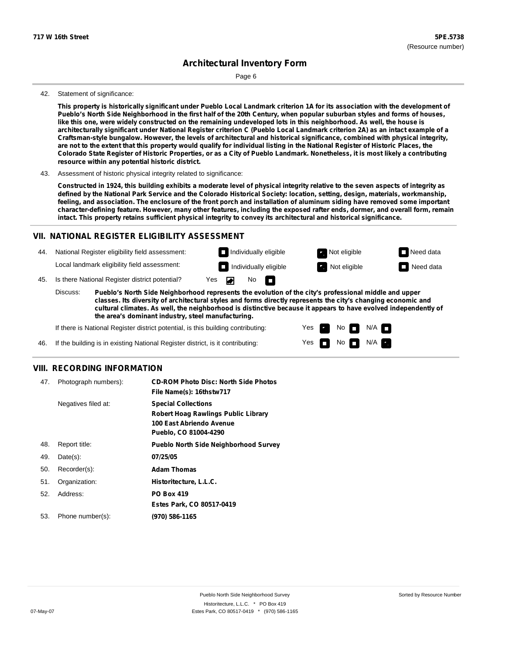Page 6

#### 42. Statement of significance:

This property is historically significant under Pueblo Local Landmark criterion 1A for its association with the development of Pueblo's North Side Neighborhood in the first half of the 20th Century, when popular suburban styles and forms of houses, like this one, were widely constructed on the remaining undeveloped lots in this neighborhood. As well, the house is architecturally significant under National Register criterion C (Pueblo Local Landmark criterion 2A) as an intact example of a **Craftsman-style bungalow. However, the levels of architectural and historical significance, combined with physical integrity,** are not to the extent that this property would qualify for individual listing in the National Register of Historic Places, the Colorado State Register of Historic Properties, or as a City of Pueblo Landmark. Nonetheless, it is most likely a contributing **resource within any potential historic district.**

43. Assessment of historic physical integrity related to significance:

Constructed in 1924, this building exhibits a moderate level of physical integrity relative to the seven aspects of integrity as defined by the National Park Service and the Colorado Historical Society: location, setting, design, materials, workmanship, feeling, and association. The enclosure of the front porch and installation of aluminum siding have removed some important character-defining feature. However, many other features, including the exposed rafter ends, dormer, and overall form, remain **intact. This property retains sufficient physical integrity to convey its architectural and historical significance.**

#### **VII. NATIONAL REGISTER ELIGIBILITY ASSESSMENT**

44. National Register eligibility field assessment: Local landmark eligibility field assessment:

45. Is there National Register district potential? Yes

**Pueblo's North Side Neighborhood represents the evolution of the city's professional middle and upper classes. Its diversity of architectural styles and forms directly represents the city's changing economic and cultural climates. As well, the neighborhood is distinctive because it appears to have evolved independently of the area's dominant industry, steel manufacturing.** Discuss:

No

m

Yes Yes No

**Individually eligible Not eligible** Not eligible **Need data Individually eligible Not eligible** Not eligible **Need data** 

 $No$   $\neg$   $N/A$ 

 $N/A$ 

If there is National Register district potential, is this building contributing:

If the building is in existing National Register district, is it contributing: 46.

#### **VIII. RECORDING INFORMATION**

| 47. | Photograph numbers): | <b>CD-ROM Photo Disc: North Side Photos</b><br>File Name(s): 16thstw717                                                       |
|-----|----------------------|-------------------------------------------------------------------------------------------------------------------------------|
|     | Negatives filed at:  | <b>Special Collections</b><br><b>Robert Hoag Rawlings Public Library</b><br>100 East Abriendo Avenue<br>Pueblo, CO 81004-4290 |
| 48. | Report title:        | <b>Pueblo North Side Neighborhood Survey</b>                                                                                  |
| 49. | $Date(s)$ :          | 07/25/05                                                                                                                      |
| 50. | Recorder(s):         | <b>Adam Thomas</b>                                                                                                            |
| 51. | Organization:        | Historitecture, L.L.C.                                                                                                        |
| 52. | Address:             | <b>PO Box 419</b>                                                                                                             |
|     |                      | Estes Park, CO 80517-0419                                                                                                     |
| 53. | Phone number(s):     | (970) 586-1165                                                                                                                |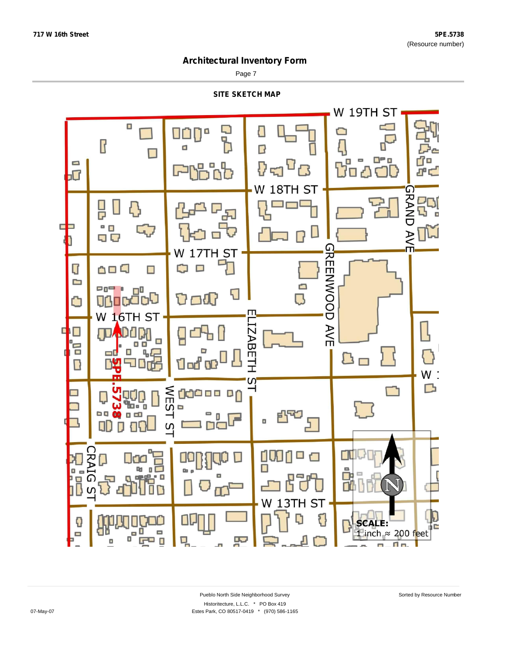Page 7